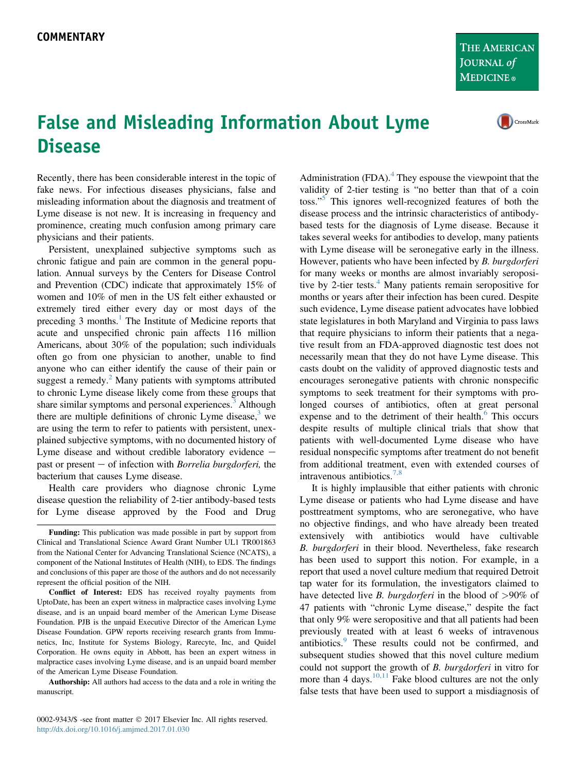THE AMERICAN JOURNAL of **MEDICINE**®

## False and Misleading Information About Lyme **Disease**

CrossMark

Recently, there has been considerable interest in the topic of fake news. For infectious diseases physicians, false and misleading information about the diagnosis and treatment of Lyme disease is not new. It is increasing in frequency and prominence, creating much confusion among primary care physicians and their patients.

Persistent, unexplained subjective symptoms such as chronic fatigue and pain are common in the general population. Annual surveys by the Centers for Disease Control and Prevention (CDC) indicate that approximately 15% of women and 10% of men in the US felt either exhausted or extremely tired either every day or most days of the preceding  $3$  months.<sup>1</sup> The Institute of Medicine reports that acute and unspecified chronic pain affects 116 million Americans, about 30% of the population; such individuals often go from one physician to another, unable to find anyone who can either identify the cause of their pain or suggest a remedy.<sup>[2](#page-1-0)</sup> Many patients with symptoms attributed to chronic Lyme disease likely come from these groups that share similar symptoms and personal experiences.<sup>[3](#page-1-0)</sup> Although there are multiple definitions of chronic Lyme disease, $3$  we are using the term to refer to patients with persistent, unexplained subjective symptoms, with no documented history of Lyme disease and without credible laboratory evidence  $$ past or present  $-$  of infection with *Borrelia burgdorferi*, the bacterium that causes Lyme disease.

Health care providers who diagnose chronic Lyme disease question the reliability of 2-tier antibody-based tests for Lyme disease approved by the Food and Drug

Conflict of Interest: EDS has received royalty payments from UptoDate, has been an expert witness in malpractice cases involving Lyme disease, and is an unpaid board member of the American Lyme Disease Foundation. PJB is the unpaid Executive Director of the American Lyme Disease Foundation. GPW reports receiving research grants from Immunetics, Inc, Institute for Systems Biology, Rarecyte, Inc, and Quidel Corporation. He owns equity in Abbott, has been an expert witness in malpractice cases involving Lyme disease, and is an unpaid board member of the American Lyme Disease Foundation.

Authorship: All authors had access to the data and a role in writing the manuscript.

0002-9343/\$ -see front matter  $\odot$  2017 Elsevier Inc. All rights reserved. <http://dx.doi.org/10.1016/j.amjmed.2017.01.030>

Administration  $(FDA)$ <sup>[4](#page-1-0)</sup>. They espouse the viewpoint that the validity of 2-tier testing is "no better than that of a coin toss."<sup>[5](#page-1-0)</sup> This ignores well-recognized features of both the disease process and the intrinsic characteristics of antibodybased tests for the diagnosis of Lyme disease. Because it takes several weeks for antibodies to develop, many patients with Lyme disease will be seronegative early in the illness. However, patients who have been infected by *B. burgdorferi* for many weeks or months are almost invariably seroposi-tive by 2-tier tests.<sup>[4](#page-1-0)</sup> Many patients remain seropositive for months or years after their infection has been cured. Despite such evidence, Lyme disease patient advocates have lobbied state legislatures in both Maryland and Virginia to pass laws that require physicians to inform their patients that a negative result from an FDA-approved diagnostic test does not necessarily mean that they do not have Lyme disease. This casts doubt on the validity of approved diagnostic tests and encourages seronegative patients with chronic nonspecific symptoms to seek treatment for their symptoms with prolonged courses of antibiotics, often at great personal expense and to the detriment of their health. $6$  This occurs despite results of multiple clinical trials that show that patients with well-documented Lyme disease who have residual nonspecific symptoms after treatment do not benefit from additional treatment, even with extended courses of intravenous antibiotics.[7,8](#page-1-0)

It is highly implausible that either patients with chronic Lyme disease or patients who had Lyme disease and have posttreatment symptoms, who are seronegative, who have no objective findings, and who have already been treated extensively with antibiotics would have cultivable B. burgdorferi in their blood. Nevertheless, fake research has been used to support this notion. For example, in a report that used a novel culture medium that required Detroit tap water for its formulation, the investigators claimed to have detected live *B. burgdorferi* in the blood of  $>90\%$  of 47 patients with "chronic Lyme disease," despite the fact that only 9% were seropositive and that all patients had been previously treated with at least 6 weeks of intravenous antibiotics.<sup>[9](#page-1-0)</sup> These results could not be confirmed, and subsequent studies showed that this novel culture medium could not support the growth of B. burgdorferi in vitro for more than 4 days.  $\frac{10,11}{10}$  $\frac{10,11}{10}$  $\frac{10,11}{10}$  Fake blood cultures are not the only false tests that have been used to support a misdiagnosis of

Funding: This publication was made possible in part by support from Clinical and Translational Science Award Grant Number UL1 TR001863 from the National Center for Advancing Translational Science (NCATS), a component of the National Institutes of Health (NIH), to EDS. The findings and conclusions of this paper are those of the authors and do not necessarily represent the official position of the NIH.